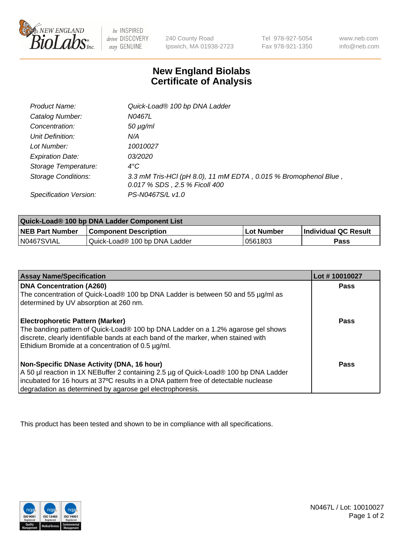

 $be$  INSPIRED drive DISCOVERY stay GENUINE

240 County Road Ipswich, MA 01938-2723 Tel 978-927-5054 Fax 978-921-1350 www.neb.com info@neb.com

## **New England Biolabs Certificate of Analysis**

| Product Name:              | Quick-Load® 100 bp DNA Ladder                                                                    |
|----------------------------|--------------------------------------------------------------------------------------------------|
| Catalog Number:            | N0467L                                                                                           |
| Concentration:             | <i>50 µg/ml</i>                                                                                  |
| Unit Definition:           | N/A                                                                                              |
| Lot Number:                | 10010027                                                                                         |
| <b>Expiration Date:</b>    | <i>03/2020</i>                                                                                   |
| Storage Temperature:       | $4^{\circ}$ C                                                                                    |
| <b>Storage Conditions:</b> | 3.3 mM Tris-HCl (pH 8.0), 11 mM EDTA, 0.015 % Bromophenol Blue,<br>0.017 % SDS, 2.5 % Ficoll 400 |
| Specification Version:     | PS-N0467S/L v1.0                                                                                 |

| Quick-Load® 100 bp DNA Ladder Component List |                               |             |                             |  |
|----------------------------------------------|-------------------------------|-------------|-----------------------------|--|
| <b>NEB Part Number</b>                       | <b>Component Description</b>  | ⊥Lot Number | <b>Individual QC Result</b> |  |
| N0467SVIAL                                   | Quick-Load® 100 bp DNA Ladder | 0561803     | Pass                        |  |

| <b>Assay Name/Specification</b>                                                                                                                                                                                                                                                        | Lot #10010027 |
|----------------------------------------------------------------------------------------------------------------------------------------------------------------------------------------------------------------------------------------------------------------------------------------|---------------|
| <b>DNA Concentration (A260)</b><br>The concentration of Quick-Load® 100 bp DNA Ladder is between 50 and 55 µg/ml as<br>determined by UV absorption at 260 nm.                                                                                                                          | <b>Pass</b>   |
| <b>Electrophoretic Pattern (Marker)</b><br>The banding pattern of Quick-Load® 100 bp DNA Ladder on a 1.2% agarose gel shows<br>discrete, clearly identifiable bands at each band of the marker, when stained with<br>Ethidium Bromide at a concentration of 0.5 µg/ml.                 | Pass          |
| Non-Specific DNase Activity (DNA, 16 hour)<br>A 50 µl reaction in 1X NEBuffer 2 containing 2.5 µg of Quick-Load® 100 bp DNA Ladder<br>incubated for 16 hours at 37°C results in a DNA pattern free of detectable nuclease<br>degradation as determined by agarose gel electrophoresis. | Pass          |

This product has been tested and shown to be in compliance with all specifications.